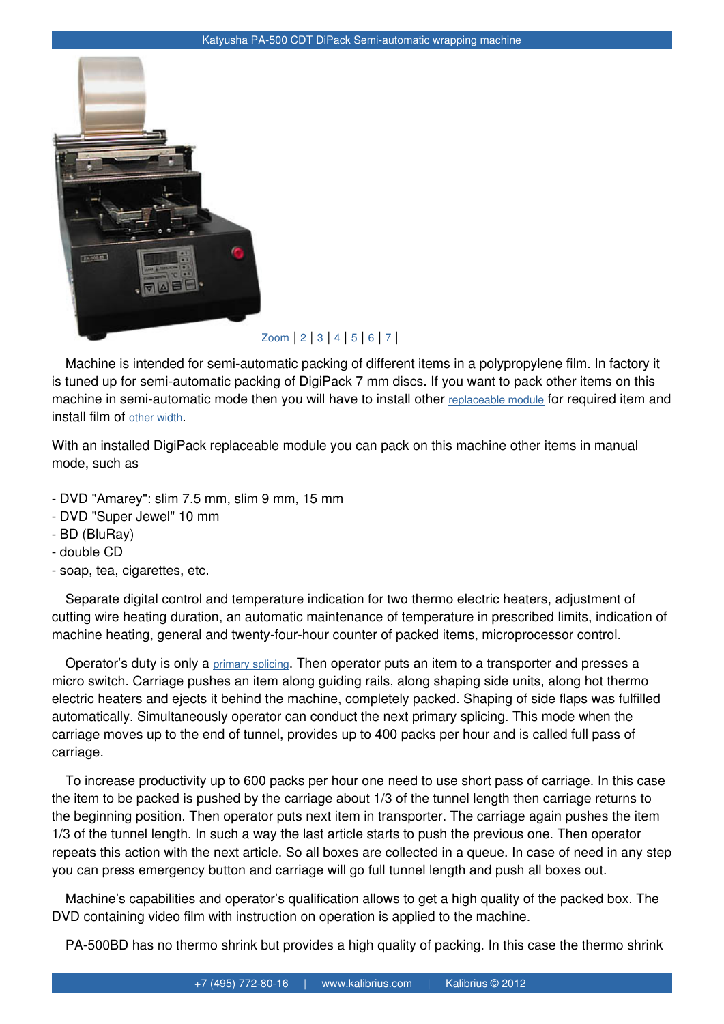

## $Zoom$  | 2 | 3 | 4 | 5 | 6 | 7 |

Machine is intended for semi-automatic packing of different items in a polypropylene film. In factory it [is tuned up for semi-automatic pack](http://www.kalibrius.com/img_wares/big/pa500_main_new.jpg)ing of DigiPack 7 mm discs. If you want to pack other items on this machine in semi-automatic mode t[hen yo](http://www.kalibrius.com/img_wares/big/pa500_main_new.jpg)[u](http://www.kalibrius.com/img_wares/big/pa500_forward_new.jpg) w[ill](http://www.kalibrius.com/img_wares/big/pa500_3.jpg) [ha](http://www.kalibrius.com/img_wares/big/pa500_4.jpg)v[e](http://www.kalibrius.com/img_wares/big/pa500_5.jpg) t[o](http://www.kalibrius.com/img_wares/big/lm180_pa500_new_roll.jpg) i[ns](http://www.kalibrius.com/img_wares/big/pa500_main_teartape.jpg)tall other replaceable module for required item and install film of other width.

With an installed DigiPack replaceable module you can pack on this machine other items in manual mode, such [as](http://www.kalibrius.com/wares/74/294/package_film.html) 

- DVD "Amarey": slim 7.5 mm, slim 9 mm, 15 mm
- DVD "Super Jewel" 10 mm
- BD (BluRay)
- double CD
- soap, tea, cigarettes, etc.

Separate digital control and temperature indication for two thermo electric heaters, adjustment of cutting wire heating duration, an automatic maintenance of temperature in prescribed limits, indication of machine heating, general and twenty-four-hour counter of packed items, microprocessor control.

Operator's duty is only a primary splicing. Then operator puts an item to a transporter and presses a micro switch. Carriage pushes an item along guiding rails, along shaping side units, along hot thermo electric heaters and ejects it behind the machine, completely packed. Shaping of side flaps was fulfilled automatically. Simultaneou[sly operator c](http://www.kalibrius.com/img_wares/rabota_stankov/pa500_8_big.jpg)an conduct the next primary splicing. This mode when the carriage moves up to the end of tunnel, provides up to 400 packs per hour and is called full pass of carriage.

To increase productivity up to 600 packs per hour one need to use short pass of carriage. In this case the item to be packed is pushed by the carriage about 1/3 of the tunnel length then carriage returns to the beginning position. Then operator puts next item in transporter. The carriage again pushes the item 1/3 of the tunnel length. In such a way the last article starts to push the previous one. Then operator repeats this action with the next article. So all boxes are collected in a queue. In case of need in any step you can press emergency button and carriage will go full tunnel length and push all boxes out.

Machine's capabilities and operator's qualification allows to get a high quality of the packed box. The DVD containing video film with instruction on operation is applied to the machine.

PA-500BD has no thermo shrink but provides a high quality of packing. In this case the thermo shrink